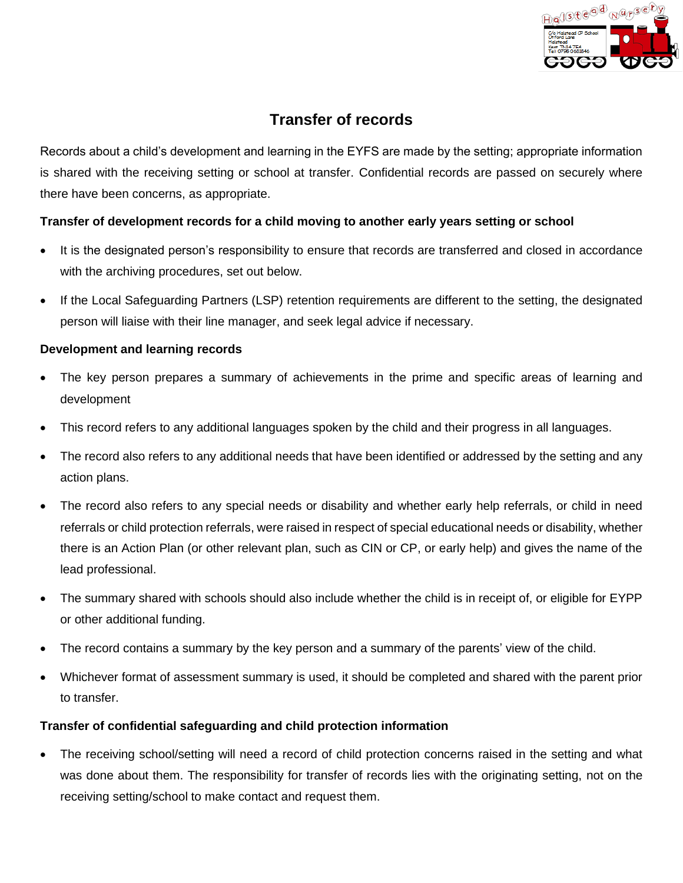

## **Transfer of records**

Records about a child's development and learning in the EYFS are made by the setting; appropriate information is shared with the receiving setting or school at transfer. Confidential records are passed on securely where there have been concerns, as appropriate.

## **Transfer of development records for a child moving to another early years setting or school**

- It is the designated person's responsibility to ensure that records are transferred and closed in accordance with the archiving procedures, set out below.
- If the Local Safeguarding Partners (LSP) retention requirements are different to the setting, the designated person will liaise with their line manager, and seek legal advice if necessary.

## **Development and learning records**

- The key person prepares a summary of achievements in the prime and specific areas of learning and development
- This record refers to any additional languages spoken by the child and their progress in all languages.
- The record also refers to any additional needs that have been identified or addressed by the setting and any action plans.
- The record also refers to any special needs or disability and whether early help referrals, or child in need referrals or child protection referrals, were raised in respect of special educational needs or disability, whether there is an Action Plan (or other relevant plan, such as CIN or CP, or early help) and gives the name of the lead professional.
- The summary shared with schools should also include whether the child is in receipt of, or eligible for EYPP or other additional funding.
- The record contains a summary by the key person and a summary of the parents' view of the child.
- Whichever format of assessment summary is used, it should be completed and shared with the parent prior to transfer.

## **Transfer of confidential safeguarding and child protection information**

The receiving school/setting will need a record of child protection concerns raised in the setting and what was done about them. The responsibility for transfer of records lies with the originating setting, not on the receiving setting/school to make contact and request them.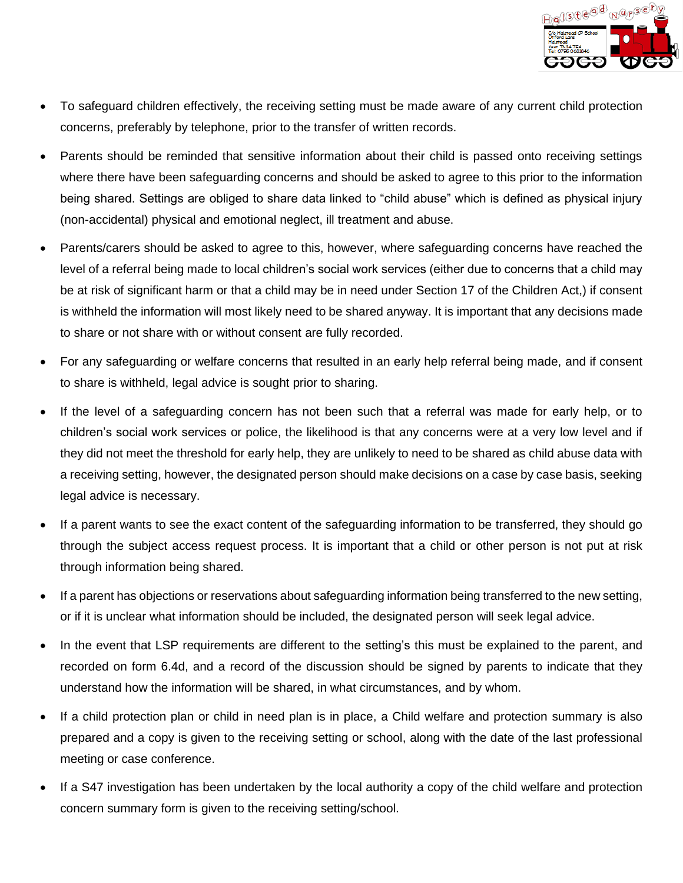

- To safeguard children effectively, the receiving setting must be made aware of any current child protection concerns, preferably by telephone, prior to the transfer of written records.
- Parents should be reminded that sensitive information about their child is passed onto receiving settings where there have been safeguarding concerns and should be asked to agree to this prior to the information being shared. Settings are obliged to share data linked to "child abuse" which is defined as physical injury (non-accidental) physical and emotional neglect, ill treatment and abuse.
- Parents/carers should be asked to agree to this, however, where safeguarding concerns have reached the level of a referral being made to local children's social work services (either due to concerns that a child may be at risk of significant harm or that a child may be in need under Section 17 of the Children Act,) if consent is withheld the information will most likely need to be shared anyway. It is important that any decisions made to share or not share with or without consent are fully recorded.
- For any safeguarding or welfare concerns that resulted in an early help referral being made, and if consent to share is withheld, legal advice is sought prior to sharing.
- If the level of a safeguarding concern has not been such that a referral was made for early help, or to children's social work services or police, the likelihood is that any concerns were at a very low level and if they did not meet the threshold for early help, they are unlikely to need to be shared as child abuse data with a receiving setting, however, the designated person should make decisions on a case by case basis, seeking legal advice is necessary.
- If a parent wants to see the exact content of the safeguarding information to be transferred, they should go through the subject access request process. It is important that a child or other person is not put at risk through information being shared.
- If a parent has objections or reservations about safeguarding information being transferred to the new setting, or if it is unclear what information should be included, the designated person will seek legal advice.
- In the event that LSP requirements are different to the setting's this must be explained to the parent, and recorded on form 6.4d, and a record of the discussion should be signed by parents to indicate that they understand how the information will be shared, in what circumstances, and by whom.
- If a child protection plan or child in need plan is in place, a Child welfare and protection summary is also prepared and a copy is given to the receiving setting or school, along with the date of the last professional meeting or case conference.
- If a S47 investigation has been undertaken by the local authority a copy of the child welfare and protection concern summary form is given to the receiving setting/school.